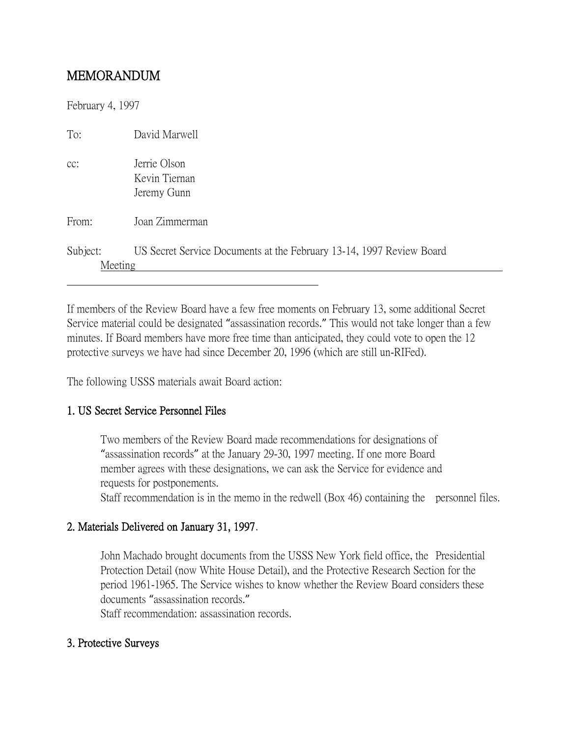# MEMORANDUM

February 4, 1997

| To:                 | David Marwell                                                        |
|---------------------|----------------------------------------------------------------------|
| cc:                 | Jerrie Olson<br>Kevin Tiernan<br>Jeremy Gunn                         |
| From:               | Joan Zimmerman                                                       |
| Subject:<br>Meeting | US Secret Service Documents at the February 13-14, 1997 Review Board |

If members of the Review Board have a few free moments on February 13, some additional Secret Service material could be designated "assassination records." This would not take longer than a few minutes. If Board members have more free time than anticipated, they could vote to open the 12 protective surveys we have had since December 20, 1996 (which are still un-RIFed).

The following USSS materials await Board action:

### 1. US Secret Service Personnel Files

Two members of the Review Board made recommendations for designations of "assassination records" at the January 29-30, 1997 meeting. If one more Board member agrees with these designations, we can ask the Service for evidence and requests for postponements.

Staff recommendation is in the memo in the redwell (Box 46) containing the personnel files.

### 2. Materials Delivered on January 31, 1997.

John Machado brought documents from the USSS New York field office, the Presidential Protection Detail (now White House Detail), and the Protective Research Section for the period 1961-1965. The Service wishes to know whether the Review Board considers these documents "assassination records."

Staff recommendation: assassination records.

### 3. Protective Surveys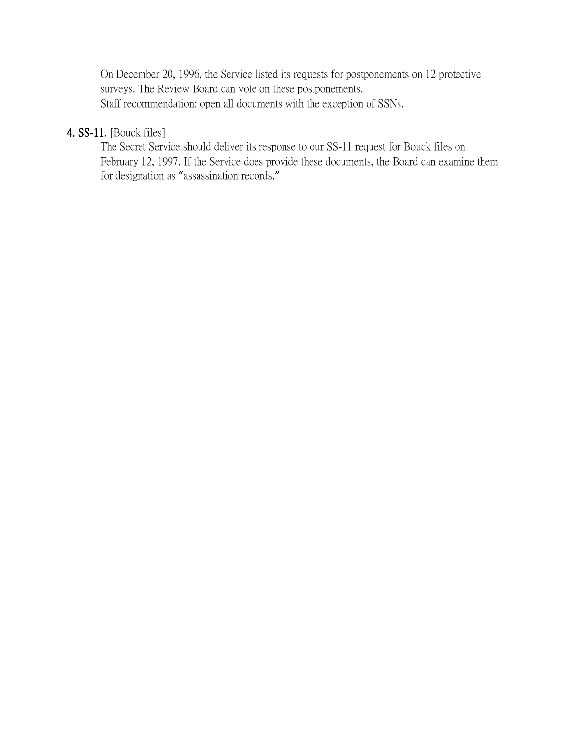On December 20, 1996, the Service listed its requests for postponements on 12 protective surveys. The Review Board can vote on these postponements. Staff recommendation: open all documents with the exception of SSNs.

## 4. SS-11. [Bouck files]

The Secret Service should deliver its response to our SS-11 request for Bouck files on February 12, 1997. If the Service does provide these documents, the Board can examine them for designation as "assassination records."